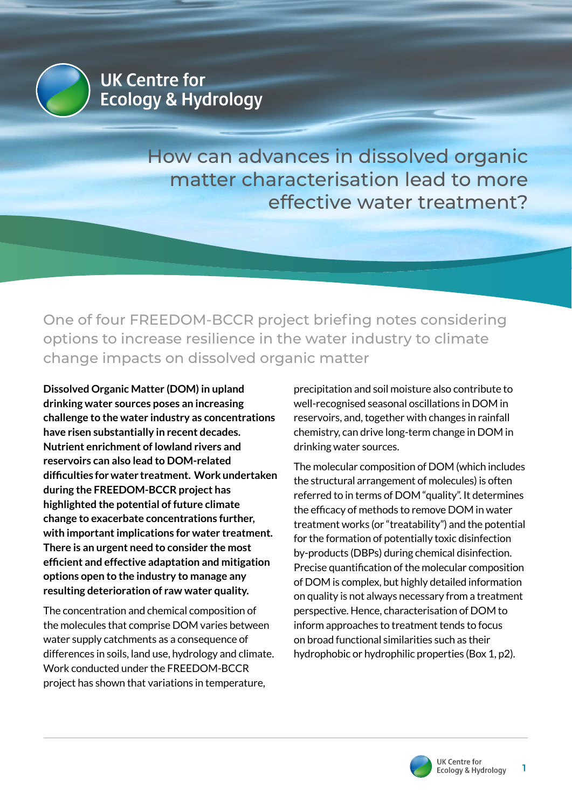

How can advances in dissolved organic matter characterisation lead to more effective water treatment?

One of four FREEDOM-BCCR project briefing notes considering options to increase resilience in the water industry to climate change impacts on dissolved organic matter

**Dissolved Organic Matter (DOM) in upland drinking water sources poses an increasing challenge to the water industry as concentrations have risen substantially in recent decades. Nutrient enrichment of lowland rivers and reservoirs can also lead to DOM-related difficulties for water treatment. Work undertaken during the FREEDOM-BCCR project has highlighted the potential of future climate change to exacerbate concentrations further, with important implications for water treatment. There is an urgent need to consider the most efficient and effective adaptation and mitigation options open to the industry to manage any resulting deterioration of raw water quality.**

The concentration and chemical composition of the molecules that comprise DOM varies between water supply catchments as a consequence of differences in soils, land use, hydrology and climate. Work conducted under the FREEDOM-BCCR project has shown that variations in temperature,

precipitation and soil moisture also contribute to well-recognised seasonal oscillations in DOM in reservoirs, and, together with changes in rainfall chemistry, can drive long-term change in DOM in drinking water sources.

The molecular composition of DOM (which includes the structural arrangement of molecules) is often referred to in terms of DOM "quality". It determines the efficacy of methods to remove DOM in water treatment works (or "treatability") and the potential for the formation of potentially toxic disinfection by-products (DBPs) during chemical disinfection. Precise quantification of the molecular composition of DOM is complex, but highly detailed information on quality is not always necessary from a treatment perspective. Hence, characterisation of DOM to inform approaches to treatment tends to focus on broad functional similarities such as their hydrophobic or hydrophilic properties (Box 1, p2).

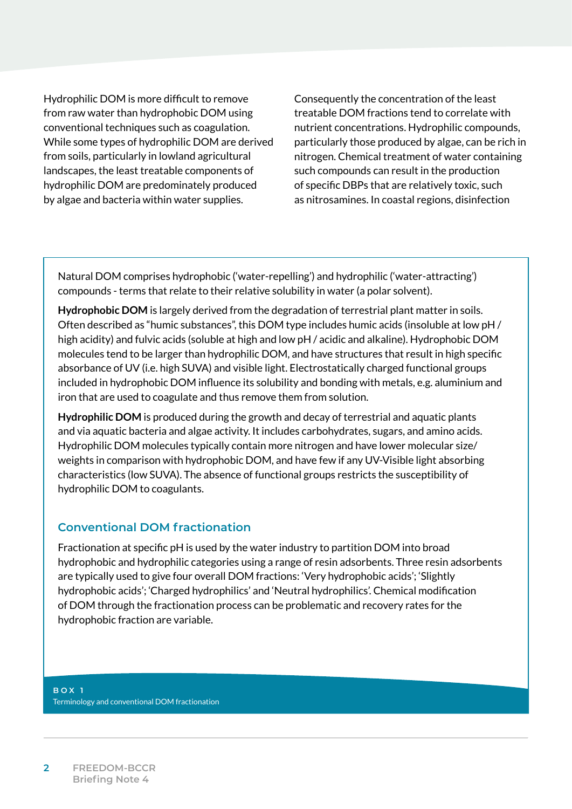Hydrophilic DOM is more difficult to remove from raw water than hydrophobic DOM using conventional techniques such as coagulation. While some types of hydrophilic DOM are derived from soils, particularly in lowland agricultural landscapes, the least treatable components of hydrophilic DOM are predominately produced by algae and bacteria within water supplies.

Consequently the concentration of the least treatable DOM fractions tend to correlate with nutrient concentrations. Hydrophilic compounds, particularly those produced by algae, can be rich in nitrogen. Chemical treatment of water containing such compounds can result in the production of specific DBPs that are relatively toxic, such as nitrosamines. In coastal regions, disinfection

Natural DOM comprises hydrophobic ('water-repelling') and hydrophilic ('water-attracting') compounds - terms that relate to their relative solubility in water (a polar solvent).

**Hydrophobic DOM** is largely derived from the degradation of terrestrial plant matter in soils. Often described as "humic substances", this DOM type includes humic acids (insoluble at low pH / high acidity) and fulvic acids (soluble at high and low pH / acidic and alkaline). Hydrophobic DOM molecules tend to be larger than hydrophilic DOM, and have structures that result in high specific absorbance of UV (i.e. high SUVA) and visible light. Electrostatically charged functional groups included in hydrophobic DOM influence its solubility and bonding with metals, e.g. aluminium and iron that are used to coagulate and thus remove them from solution.

**Hydrophilic DOM** is produced during the growth and decay of terrestrial and aquatic plants and via aquatic bacteria and algae activity. It includes carbohydrates, sugars, and amino acids. Hydrophilic DOM molecules typically contain more nitrogen and have lower molecular size/ weights in comparison with hydrophobic DOM, and have few if any UV-Visible light absorbing characteristics (low SUVA). The absence of functional groups restricts the susceptibility of hydrophilic DOM to coagulants.

### **Conventional DOM fractionation**

Fractionation at specific pH is used by the water industry to partition DOM into broad hydrophobic and hydrophilic categories using a range of resin adsorbents. Three resin adsorbents are typically used to give four overall DOM fractions: 'Very hydrophobic acids'; 'Slightly hydrophobic acids'; 'Charged hydrophilics' and 'Neutral hydrophilics'. Chemical modification of DOM through the fractionation process can be problematic and recovery rates for the hydrophobic fraction are variable.

### **BOX 1** Terminology and conventional DOM fractionation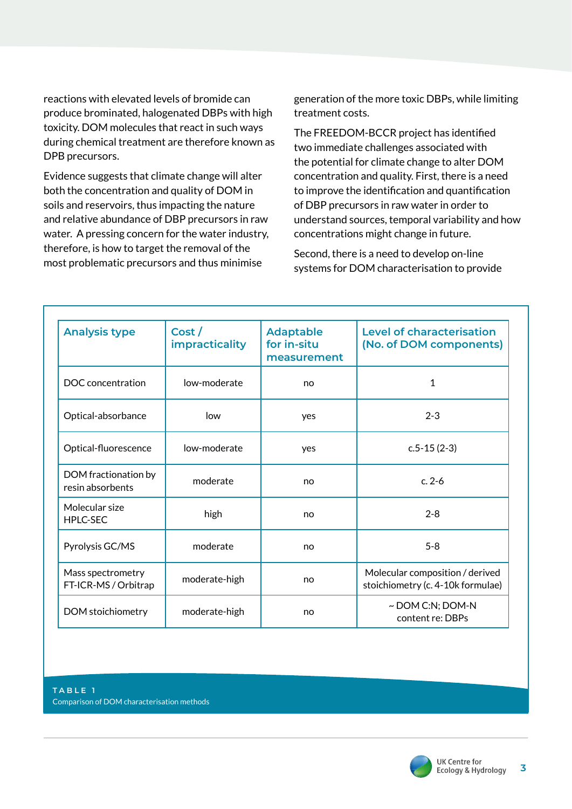reactions with elevated levels of bromide can produce brominated, halogenated DBPs with high toxicity. DOM molecules that react in such ways during chemical treatment are therefore known as DPB precursors.

Evidence suggests that climate change will alter both the concentration and quality of DOM in soils and reservoirs, thus impacting the nature and relative abundance of DBP precursors in raw water. A pressing concern for the water industry, therefore, is how to target the removal of the most problematic precursors and thus minimise

generation of the more toxic DBPs, while limiting treatment costs.

The FREEDOM-BCCR project has identified two immediate challenges associated with the potential for climate change to alter DOM concentration and quality. First, there is a need to improve the identification and quantification of DBP precursors in raw water in order to understand sources, temporal variability and how concentrations might change in future.

Second, there is a need to develop on-line systems for DOM characterisation to provide

| <b>Analysis type</b>                      | Cost/<br><i>impracticality</i> | <b>Adaptable</b><br>for in-situ<br>measurement | <b>Level of characterisation</b><br>(No. of DOM components)          |
|-------------------------------------------|--------------------------------|------------------------------------------------|----------------------------------------------------------------------|
| DOC concentration                         | low-moderate                   | no                                             | $\mathbf{1}$                                                         |
| Optical-absorbance                        | low                            | yes                                            | $2 - 3$                                                              |
| Optical-fluorescence                      | low-moderate                   | yes                                            | $c.5 - 15(2-3)$                                                      |
| DOM fractionation by<br>resin absorbents  | moderate                       | no                                             | $c. 2 - 6$                                                           |
| Molecular size<br><b>HPLC-SEC</b>         | high                           | no                                             | $2 - 8$                                                              |
| Pyrolysis GC/MS                           | moderate                       | no                                             | $5 - 8$                                                              |
| Mass spectrometry<br>FT-ICR-MS / Orbitrap | moderate-high                  | no                                             | Molecular composition / derived<br>stoichiometry (c. 4-10k formulae) |
| DOM stoichiometry                         | moderate-high                  | no                                             | ~ DOM C:N; DOM-N<br>content re: DBPs                                 |

**TABLE 1** Comparison of DOM characterisation methods

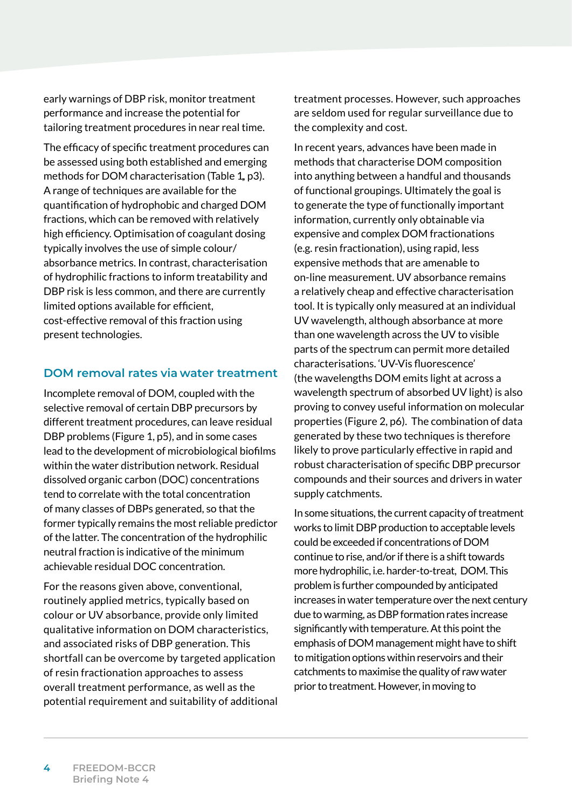early warnings of DBP risk, monitor treatment performance and increase the potential for tailoring treatment procedures in near real time.

The efficacy of specific treatment procedures can be assessed using both established and emerging methods for DOM characterisation (Table 1, p3). A range of techniques are available for the quantification of hydrophobic and charged DOM fractions, which can be removed with relatively high efficiency. Optimisation of coagulant dosing typically involves the use of simple colour/ absorbance metrics. In contrast, characterisation of hydrophilic fractions to inform treatability and DBP risk is less common, and there are currently limited options available for efficient, cost-effective removal of this fraction using present technologies.

# **DOM removal rates via water treatment**

Incomplete removal of DOM, coupled with the selective removal of certain DBP precursors by different treatment procedures, can leave residual DBP problems (Figure 1, p5), and in some cases lead to the development of microbiological biofilms within the water distribution network. Residual dissolved organic carbon (DOC) concentrations tend to correlate with the total concentration of many classes of DBPs generated, so that the former typically remains the most reliable predictor of the latter. The concentration of the hydrophilic neutral fraction is indicative of the minimum achievable residual DOC concentration.

For the reasons given above, conventional, routinely applied metrics, typically based on colour or UV absorbance, provide only limited qualitative information on DOM characteristics, and associated risks of DBP generation. This shortfall can be overcome by targeted application of resin fractionation approaches to assess overall treatment performance, as well as the potential requirement and suitability of additional treatment processes. However, such approaches are seldom used for regular surveillance due to the complexity and cost.

In recent years, advances have been made in methods that characterise DOM composition into anything between a handful and thousands of functional groupings. Ultimately the goal is to generate the type of functionally important information, currently only obtainable via expensive and complex DOM fractionations (e.g. resin fractionation), using rapid, less expensive methods that are amenable to on-line measurement. UV absorbance remains a relatively cheap and effective characterisation tool. It is typically only measured at an individual UV wavelength, although absorbance at more than one wavelength across the UV to visible parts of the spectrum can permit more detailed characterisations. 'UV-Vis fluorescence' (the wavelengths DOM emits light at across a wavelength spectrum of absorbed UV light) is also proving to convey useful information on molecular properties (Figure 2, p6). The combination of data generated by these two techniques is therefore likely to prove particularly effective in rapid and robust characterisation of specific DBP precursor compounds and their sources and drivers in water supply catchments.

In some situations, the current capacity of treatment works to limit DBP production to acceptable levels could be exceeded if concentrations of DOM continue to rise, and/or if there is a shift towards more hydrophilic, i.e. harder-to-treat, DOM. This problem is further compounded by anticipated increases in water temperature over the next century due to warming, as DBP formation rates increase significantly with temperature. At this point the emphasis of DOM management might have to shift to mitigation options within reservoirs and their catchments to maximise the quality of raw water prior to treatment. However, in moving to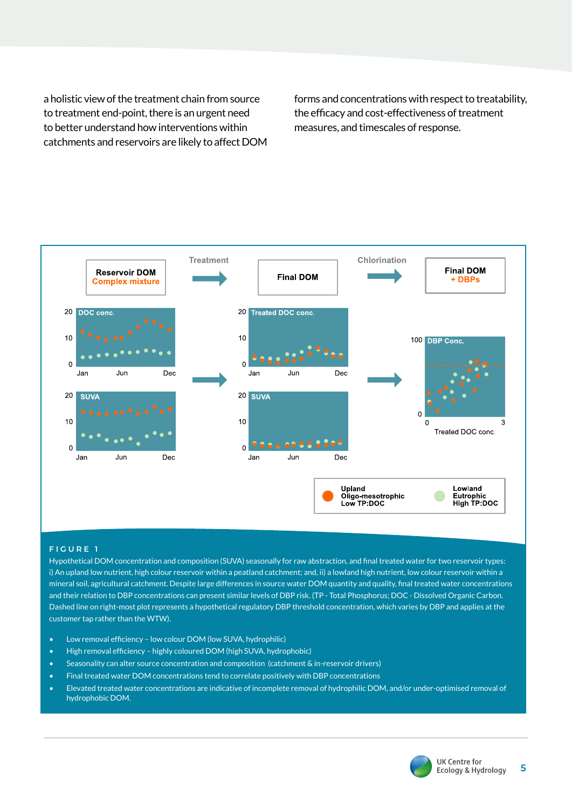a holistic view of the treatment chain from source to treatment end-point, there is an urgent need to better understand how interventions within catchments and reservoirs are likely to affect DOM forms and concentrations with respect to treatability, the efficacy and cost-effectiveness of treatment measures, and timescales of response.



#### **FIGURE 1**

Hypothetical DOM concentration and composition (SUVA) seasonally for raw abstraction, and final treated water for two reservoir types: i) An upland low nutrient, high colour reservoir within a peatland catchment; and, ii) a lowland high nutrient, low colour reservoir within a mineral soil, agricultural catchment. Despite large differences in source water DOM quantity and quality, final treated water concentrations and their relation to DBP concentrations can present similar levels of DBP risk. (TP - Total Phosphorus; DOC - Dissolved Organic Carbon. Dashed line on right-most plot represents a hypothetical regulatory DBP threshold concentration, which varies by DBP and applies at the customer tap rather than the WTW).

- Low removal efficiency low colour DOM (low SUVA, hydrophilic)
- High removal efficiency highly coloured DOM (high SUVA, hydrophobic)
- Seasonality can alter source concentration and composition (catchment & in-reservoir drivers)
- Final treated water DOM concentrations tend to correlate positively with DBP concentrations
- Elevated treated water concentrations are indicative of incomplete removal of hydrophilic DOM, and/or under-optimised removal of hydrophobic DOM.

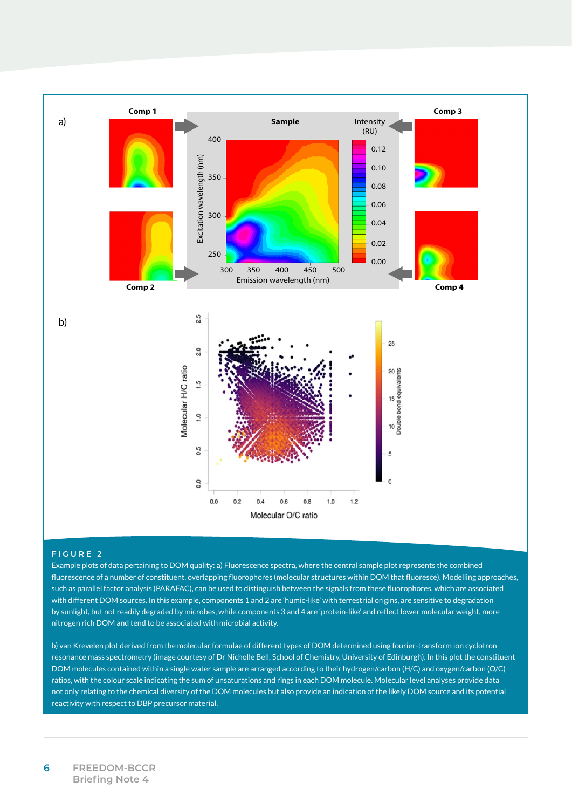

#### **FIGURE 2**

Example plots of data pertaining to DOM quality: a) Fluorescence spectra, where the central sample plot represents the combined fluorescence of a number of constituent, overlapping fluorophores (molecular structures within DOM that fluoresce). Modelling approaches, such as parallel factor analysis (PARAFAC), can be used to distinguish between the signals from these fluorophores, which are associated with different DOM sources. In this example, components 1 and 2 are 'humic-like' with terrestrial origins, are sensitive to degradation by sunlight, but not readily degraded by microbes, while components 3 and 4 are 'protein-like' and reflect lower molecular weight, more nitrogen rich DOM and tend to be associated with microbial activity.

b) van Krevelen plot derived from the molecular formulae of different types of DOM determined using fourier-transform ion cyclotron resonance mass spectrometry (image courtesy of Dr Nicholle Bell, School of Chemistry, University of Edinburgh). In this plot the constituent DOM molecules contained within a single water sample are arranged according to their hydrogen/carbon (H/C) and oxygen/carbon (O/C) ratios, with the colour scale indicating the sum of unsaturations and rings in each DOM molecule. Molecular level analyses provide data not only relating to the chemical diversity of the DOM molecules but also provide an indication of the likely DOM source and its potential reactivity with respect to DBP precursor material.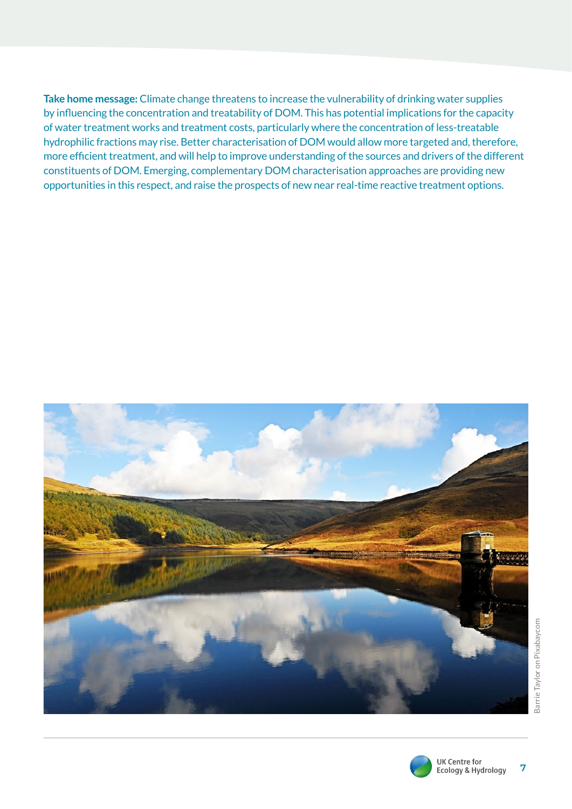**Take home message:** Climate change threatens to increase the vulnerability of drinking water supplies by influencing the concentration and treatability of DOM. This has potential implications for the capacity of water treatment works and treatment costs, particularly where the concentration of less-treatable hydrophilic fractions may rise. Better characterisation of DOM would allow more targeted and, therefore, more efficient treatment, and will help to improve understanding of the sources and drivers of the different constituents of DOM. Emerging, complementary DOM characterisation approaches are providing new opportunities in this respect, and raise the prospects of new near real-time reactive treatment options.